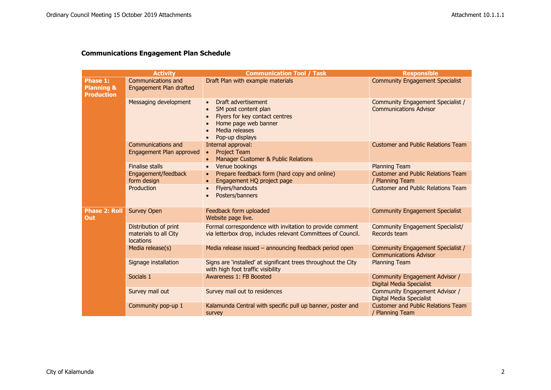## **Communications Engagement Plan Schedule**

|                                                        | <b>Activity</b>                                                    | <b>Communication Tool / Task</b>                                                                                                                                     | <b>Responsible</b>                                                 |
|--------------------------------------------------------|--------------------------------------------------------------------|----------------------------------------------------------------------------------------------------------------------------------------------------------------------|--------------------------------------------------------------------|
| Phase 1:<br><b>Planning &amp;</b><br><b>Production</b> | Communications and<br>Engagement Plan drafted                      | Draft Plan with example materials                                                                                                                                    | <b>Community Engagement Specialist</b>                             |
|                                                        | Messaging development                                              | Draft advertisement<br>SM post content plan<br>$\bullet$<br>Flyers for key contact centres<br>$\bullet$<br>Home page web banner<br>Media releases<br>Pop-up displays | Community Engagement Specialist /<br><b>Communications Advisor</b> |
|                                                        | Communications and<br>Engagement Plan approved                     | Internal approval:<br><b>Project Team</b><br>$\bullet$<br>Manager Customer & Public Relations                                                                        | <b>Customer and Public Relations Team</b>                          |
|                                                        | <b>Finalise stalls</b>                                             | Venue bookings<br>$\bullet$                                                                                                                                          | <b>Planning Team</b>                                               |
|                                                        | Engagement/feedback<br>form design                                 | Prepare feedback form (hard copy and online)<br>$\bullet$<br>Engagement HQ project page<br>$\bullet$                                                                 | <b>Customer and Public Relations Team</b><br>/ Planning Team       |
|                                                        | Production                                                         | <b>Flyers/handouts</b><br>$\bullet$<br>Posters/banners                                                                                                               | <b>Customer and Public Relations Team</b>                          |
| <b>Phase 2: Roll</b><br>Out                            | <b>Survey Open</b>                                                 | Feedback form uploaded<br>Website page live.                                                                                                                         | <b>Community Engagement Specialist</b>                             |
|                                                        | Distribution of print<br>materials to all City<br><b>locations</b> | Formal correspondence with invitation to provide comment<br>via letterbox drop, includes relevant Committees of Council.                                             | <b>Community Engagement Specialist/</b><br>Records team            |
|                                                        | Media release(s)                                                   | Media release issued - announcing feedback period open                                                                                                               | Community Engagement Specialist /<br><b>Communications Advisor</b> |
|                                                        | Signage installation                                               | Signs are 'installed' at significant trees throughout the City<br>with high foot traffic visibility                                                                  | <b>Planning Team</b>                                               |
|                                                        | Socials 1                                                          | Awareness 1: FB Boosted                                                                                                                                              | Community Engagement Advisor /<br><b>Digital Media Specialist</b>  |
|                                                        | Survey mail out                                                    | Survey mail out to residences                                                                                                                                        | Community Engagement Advisor /<br><b>Digital Media Specialist</b>  |
|                                                        | Community pop-up 1                                                 | Kalamunda Central with specific pull up banner, poster and<br>survey                                                                                                 | <b>Customer and Public Relations Team</b><br>/ Planning Team       |